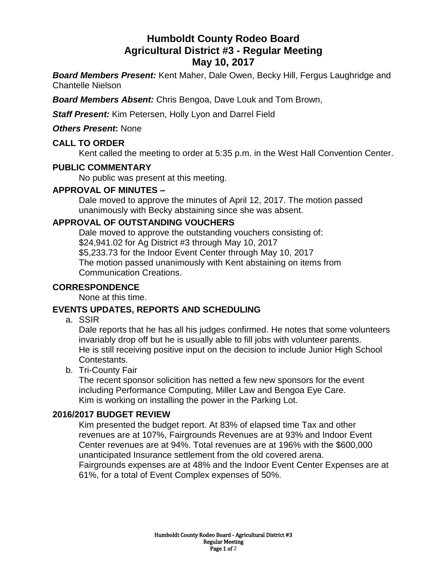# **Humboldt County Rodeo Board Agricultural District #3 - Regular Meeting May 10, 2017**

*Board Members Present:* Kent Maher, Dale Owen, Becky Hill, Fergus Laughridge and Chantelle Nielson

*Board Members Absent:* Chris Bengoa, Dave Louk and Tom Brown,

*Staff Present:* Kim Petersen, Holly Lyon and Darrel Field

*Others Present***:** None

#### **CALL TO ORDER**

Kent called the meeting to order at 5:35 p.m. in the West Hall Convention Center.

#### **PUBLIC COMMENTARY**

No public was present at this meeting.

#### **APPROVAL OF MINUTES –**

Dale moved to approve the minutes of April 12, 2017. The motion passed unanimously with Becky abstaining since she was absent.

#### **APPROVAL OF OUTSTANDING VOUCHERS**

Dale moved to approve the outstanding vouchers consisting of: \$24,941.02 for Ag District #3 through May 10, 2017 \$5,233.73 for the Indoor Event Center through May 10, 2017 The motion passed unanimously with Kent abstaining on items from Communication Creations.

#### **CORRESPONDENCE**

None at this time.

#### **EVENTS UPDATES, REPORTS AND SCHEDULING**

a. SSIR

Dale reports that he has all his judges confirmed. He notes that some volunteers invariably drop off but he is usually able to fill jobs with volunteer parents. He is still receiving positive input on the decision to include Junior High School Contestants.

b. Tri-County Fair

The recent sponsor solicition has netted a few new sponsors for the event including Performance Computing, Miller Law and Bengoa Eye Care. Kim is working on installing the power in the Parking Lot.

#### **2016/2017 BUDGET REVIEW**

Kim presented the budget report. At 83% of elapsed time Tax and other revenues are at 107%, Fairgrounds Revenues are at 93% and Indoor Event Center revenues are at 94%. Total revenues are at 196% with the \$600,000 unanticipated Insurance settlement from the old covered arena. Fairgrounds expenses are at 48% and the Indoor Event Center Expenses are at 61%, for a total of Event Complex expenses of 50%.